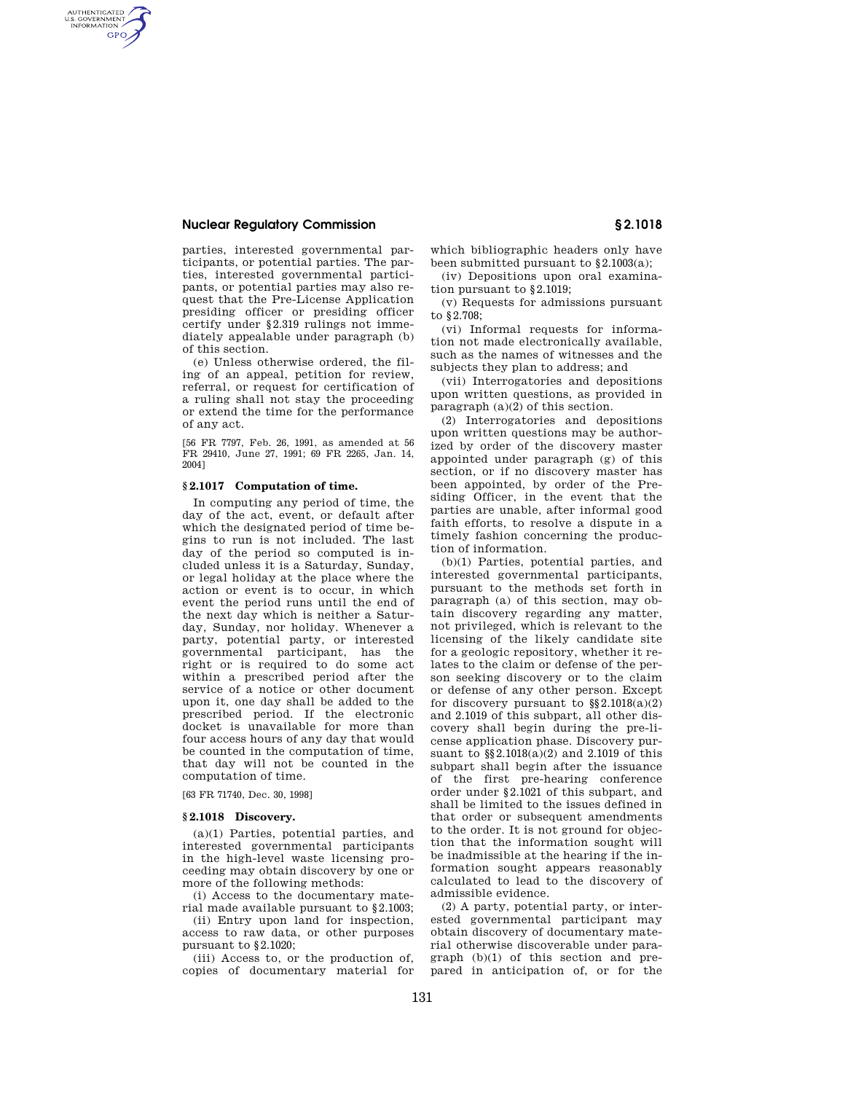## **Nuclear Regulatory Commission § 2.1018**

AUTHENTICATED<br>U.S. GOVERNMENT<br>INFORMATION **GPO** 

> parties, interested governmental participants, or potential parties. The parties, interested governmental participants, or potential parties may also request that the Pre-License Application presiding officer or presiding officer certify under §2.319 rulings not immediately appealable under paragraph (b) of this section.

> (e) Unless otherwise ordered, the filing of an appeal, petition for review, referral, or request for certification of a ruling shall not stay the proceeding or extend the time for the performance of any act.

> [56 FR 7797, Feb. 26, 1991, as amended at 56 FR 29410, June 27, 1991; 69 FR 2265, Jan. 14, 2004]

### **§ 2.1017 Computation of time.**

In computing any period of time, the day of the act, event, or default after which the designated period of time begins to run is not included. The last day of the period so computed is included unless it is a Saturday, Sunday, or legal holiday at the place where the action or event is to occur, in which event the period runs until the end of the next day which is neither a Saturday, Sunday, nor holiday. Whenever a party, potential party, or interested governmental participant, has the right or is required to do some act within a prescribed period after the service of a notice or other document upon it, one day shall be added to the prescribed period. If the electronic docket is unavailable for more than four access hours of any day that would be counted in the computation of time, that day will not be counted in the computation of time.

[63 FR 71740, Dec. 30, 1998]

#### **§ 2.1018 Discovery.**

(a)(1) Parties, potential parties, and interested governmental participants in the high-level waste licensing proceeding may obtain discovery by one or more of the following methods:

(i) Access to the documentary material made available pursuant to §2.1003;

(ii) Entry upon land for inspection, access to raw data, or other purposes pursuant to §2.1020;

(iii) Access to, or the production of, copies of documentary material for which bibliographic headers only have been submitted pursuant to §2.1003(a);

(iv) Depositions upon oral examination pursuant to §2.1019;

(v) Requests for admissions pursuant to §2.708;

(vi) Informal requests for information not made electronically available, such as the names of witnesses and the subjects they plan to address; and

(vii) Interrogatories and depositions upon written questions, as provided in paragraph (a)(2) of this section.

(2) Interrogatories and depositions upon written questions may be authorized by order of the discovery master appointed under paragraph (g) of this section, or if no discovery master has been appointed, by order of the Presiding Officer, in the event that the parties are unable, after informal good faith efforts, to resolve a dispute in a timely fashion concerning the production of information.

(b)(1) Parties, potential parties, and interested governmental participants, pursuant to the methods set forth in paragraph (a) of this section, may obtain discovery regarding any matter, not privileged, which is relevant to the licensing of the likely candidate site for a geologic repository, whether it relates to the claim or defense of the person seeking discovery or to the claim or defense of any other person. Except for discovery pursuant to  $\S(2.1018(a)(2))$ and 2.1019 of this subpart, all other discovery shall begin during the pre-license application phase. Discovery pursuant to §§2.1018(a)(2) and 2.1019 of this subpart shall begin after the issuance of the first pre-hearing conference order under §2.1021 of this subpart, and shall be limited to the issues defined in that order or subsequent amendments to the order. It is not ground for objection that the information sought will be inadmissible at the hearing if the information sought appears reasonably calculated to lead to the discovery of admissible evidence.

(2) A party, potential party, or interested governmental participant may obtain discovery of documentary material otherwise discoverable under paragraph (b)(1) of this section and prepared in anticipation of, or for the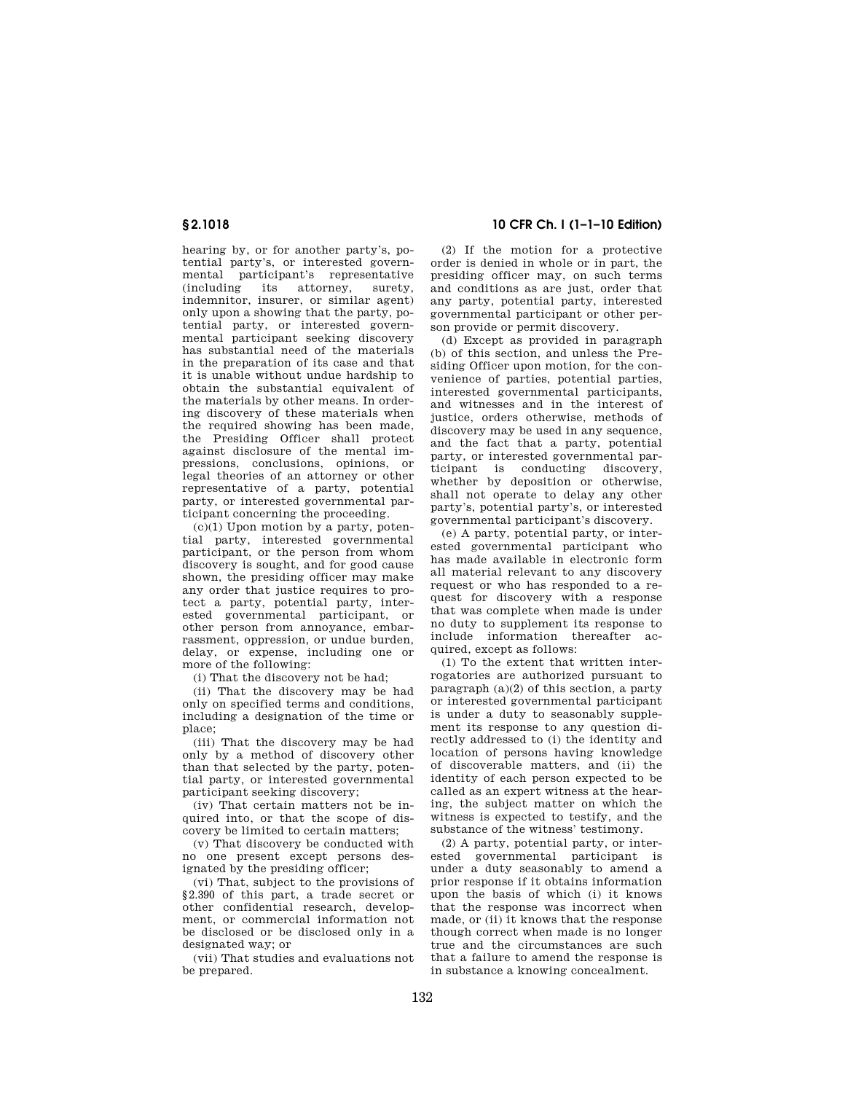hearing by, or for another party's, potential party's, or interested governmental participant's representative<br>(including its attorney, surety, (including its attorney, indemnitor, insurer, or similar agent) only upon a showing that the party, potential party, or interested governmental participant seeking discovery has substantial need of the materials in the preparation of its case and that it is unable without undue hardship to obtain the substantial equivalent of the materials by other means. In ordering discovery of these materials when the required showing has been made, the Presiding Officer shall protect against disclosure of the mental impressions, conclusions, opinions, or legal theories of an attorney or other representative of a party, potential party, or interested governmental participant concerning the proceeding.

 $(c)(1)$  Upon motion by a party, potential party, interested governmental participant, or the person from whom discovery is sought, and for good cause shown, the presiding officer may make any order that justice requires to protect a party, potential party, interested governmental participant, or other person from annoyance, embarrassment, oppression, or undue burden, delay, or expense, including one or more of the following:

(i) That the discovery not be had;

(ii) That the discovery may be had only on specified terms and conditions, including a designation of the time or place;

(iii) That the discovery may be had only by a method of discovery other than that selected by the party, potential party, or interested governmental participant seeking discovery;

(iv) That certain matters not be inquired into, or that the scope of discovery be limited to certain matters;

(v) That discovery be conducted with no one present except persons designated by the presiding officer;

(vi) That, subject to the provisions of §2.390 of this part, a trade secret or other confidential research, development, or commercial information not be disclosed or be disclosed only in a designated way; or

(vii) That studies and evaluations not be prepared.

# **§ 2.1018 10 CFR Ch. I (1–1–10 Edition)**

(2) If the motion for a protective order is denied in whole or in part, the presiding officer may, on such terms and conditions as are just, order that any party, potential party, interested governmental participant or other person provide or permit discovery.

(d) Except as provided in paragraph (b) of this section, and unless the Presiding Officer upon motion, for the convenience of parties, potential parties, interested governmental participants, and witnesses and in the interest of justice, orders otherwise, methods of discovery may be used in any sequence, and the fact that a party, potential party, or interested governmental participant is conducting discovery, whether by deposition or otherwise, shall not operate to delay any other party's, potential party's, or interested governmental participant's discovery.

(e) A party, potential party, or interested governmental participant who has made available in electronic form all material relevant to any discovery request or who has responded to a request for discovery with a response that was complete when made is under no duty to supplement its response to include information thereafter acquired, except as follows:

(1) To the extent that written interrogatories are authorized pursuant to paragraph  $(a)(2)$  of this section, a party or interested governmental participant is under a duty to seasonably supplement its response to any question directly addressed to (i) the identity and location of persons having knowledge of discoverable matters, and (ii) the identity of each person expected to be called as an expert witness at the hearing, the subject matter on which the witness is expected to testify, and the substance of the witness' testimony.

(2) A party, potential party, or interested governmental participant is under a duty seasonably to amend a prior response if it obtains information upon the basis of which (i) it knows that the response was incorrect when made, or (ii) it knows that the response though correct when made is no longer true and the circumstances are such that a failure to amend the response is in substance a knowing concealment.